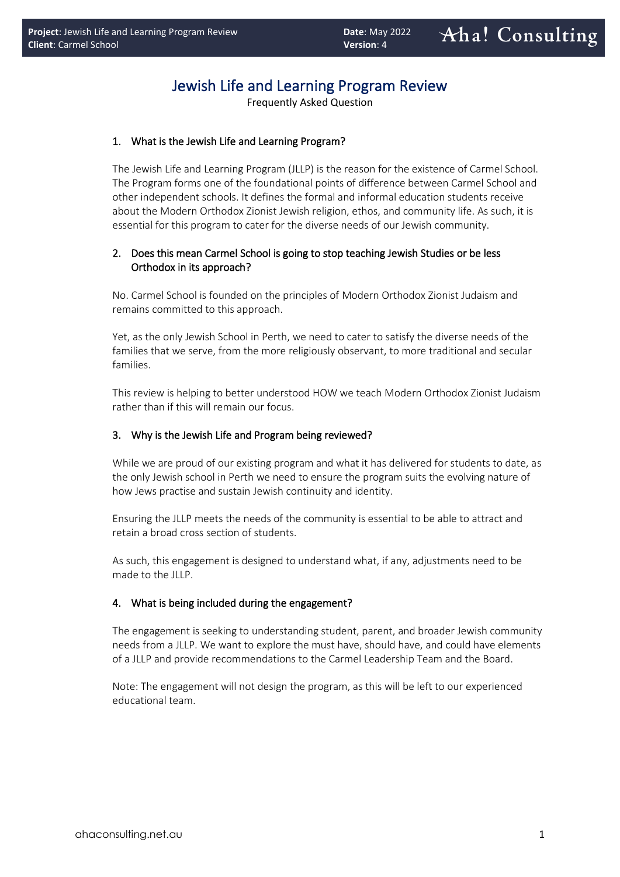# Jewish Life and Learning Program Review

Frequently Asked Question

## 1. What is the Jewish Life and Learning Program?

The Jewish Life and Learning Program (JLLP) is the reason for the existence of Carmel School. The Program forms one of the foundational points of difference between Carmel School and other independent schools. It defines the formal and informal education students receive about the Modern Orthodox Zionist Jewish religion, ethos, and community life. As such, it is essential for this program to cater for the diverse needs of our Jewish community.

# 2. Does this mean Carmel School is going to stop teaching Jewish Studies or be less Orthodox in its approach?

No. Carmel School is founded on the principles of Modern Orthodox Zionist Judaism and remains committed to this approach.

Yet, as the only Jewish School in Perth, we need to cater to satisfy the diverse needs of the families that we serve, from the more religiously observant, to more traditional and secular families.

This review is helping to better understood HOW we teach Modern Orthodox Zionist Judaism rather than if this will remain our focus.

### 3. Why is the Jewish Life and Program being reviewed?

While we are proud of our existing program and what it has delivered for students to date, as the only Jewish school in Perth we need to ensure the program suits the evolving nature of how Jews practise and sustain Jewish continuity and identity.

Ensuring the JLLP meets the needs of the community is essential to be able to attract and retain a broad cross section of students.

As such, this engagement is designed to understand what, if any, adjustments need to be made to the JLLP.

#### 4. What is being included during the engagement?

The engagement is seeking to understanding student, parent, and broader Jewish community needs from a JLLP. We want to explore the must have, should have, and could have elements of a JLLP and provide recommendations to the Carmel Leadership Team and the Board.

Note: The engagement will not design the program, as this will be left to our experienced educational team.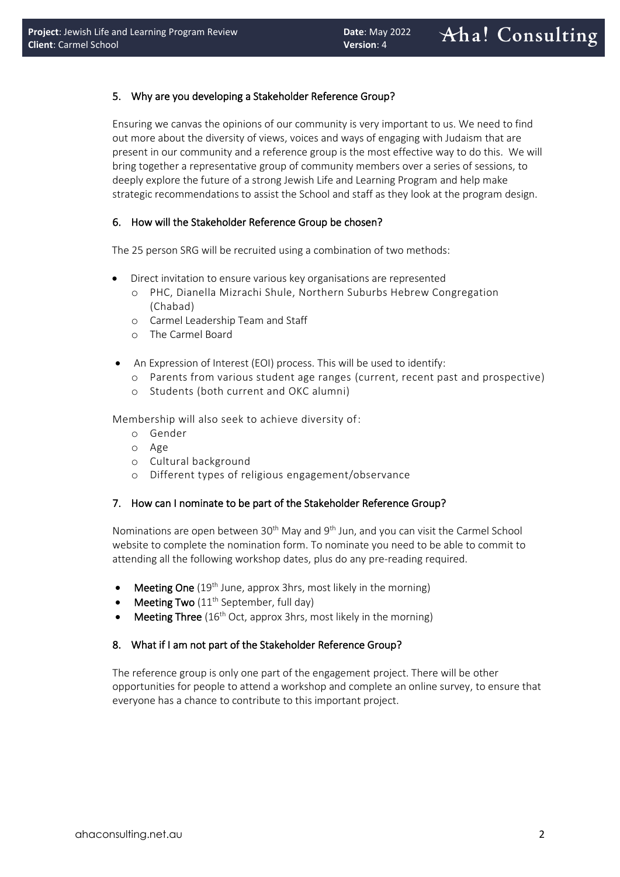### 5. Why are you developing a Stakeholder Reference Group?

Ensuring we canvas the opinions of our community is very important to us. We need to find out more about the diversity of views, voices and ways of engaging with Judaism that are present in our community and a reference group is the most effective way to do this. We will bring together a representative group of community members over a series of sessions, to deeply explore the future of a strong Jewish Life and Learning Program and help make strategic recommendations to assist the School and staff as they look at the program design.

#### 6. How will the Stakeholder Reference Group be chosen?

The 25 person SRG will be recruited using a combination of two methods:

- Direct invitation to ensure various key organisations are represented
	- o PHC, Dianella Mizrachi Shule, Northern Suburbs Hebrew Congregation (Chabad)
	- o Carmel Leadership Team and Staff
	- o The Carmel Board
- An Expression of Interest (EOI) process. This will be used to identify:
	- o Parents from various student age ranges (current, recent past and prospective)
	- o Students (both current and OKC alumni)

Membership will also seek to achieve diversity of:

- o Gender
- o Age
- o Cultural background
- o Different types of religious engagement/observance

#### 7. How can I nominate to be part of the Stakeholder Reference Group?

Nominations are open between 30<sup>th</sup> May and 9<sup>th</sup> Jun, and you can visit the Carmel School website to complete the nomination form. To nominate you need to be able to commit to attending all the following workshop dates, plus do any pre-reading required.

- Meeting One (19<sup>th</sup> June, approx 3hrs, most likely in the morning)
- **Meeting Two** ( $11<sup>th</sup>$  September, full day)
- Meeting Three (16<sup>th</sup> Oct, approx 3hrs, most likely in the morning)

#### 8. What if I am not part of the Stakeholder Reference Group?

The reference group is only one part of the engagement project. There will be other opportunities for people to attend a workshop and complete an online survey, to ensure that everyone has a chance to contribute to this important project.